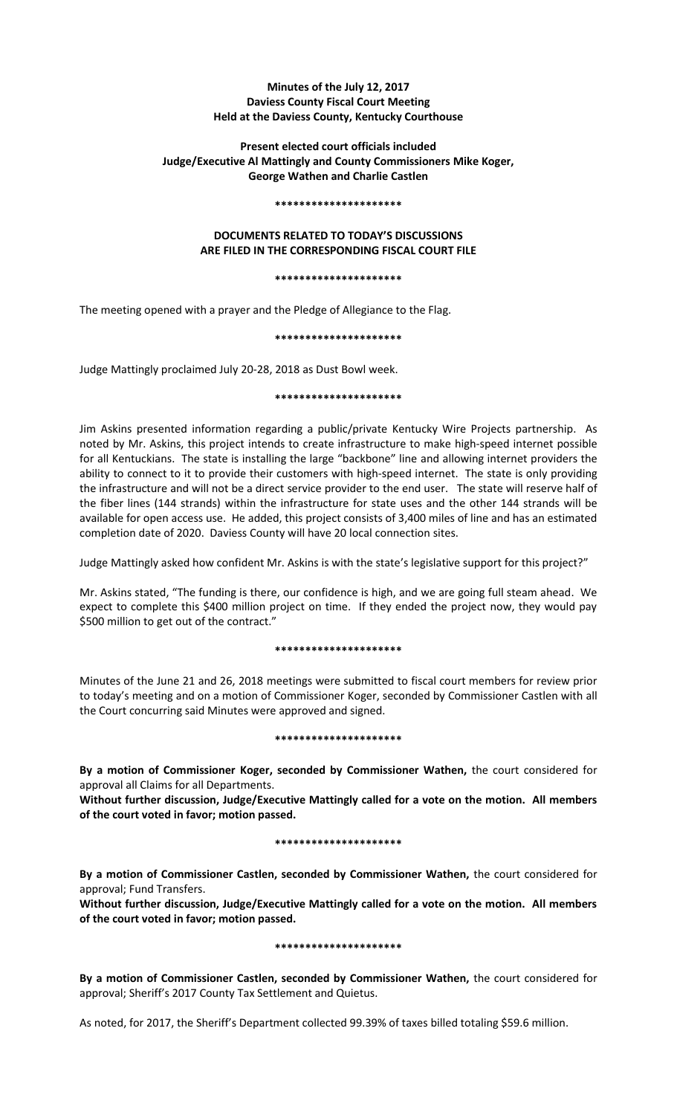# **Minutes of the July 12, 2017 Daviess County Fiscal Court Meeting Held at the Daviess County, Kentucky Courthouse**

# **Present elected court officials included Judge/Executive Al Mattingly and County Commissioners Mike Koger, George Wathen and Charlie Castlen**

#### **\*\*\*\*\*\*\*\*\*\*\*\*\*\*\*\*\*\*\*\*\***

# **DOCUMENTS RELATED TO TODAY'S DISCUSSIONS ARE FILED IN THE CORRESPONDING FISCAL COURT FILE**

#### **\*\*\*\*\*\*\*\*\*\*\*\*\*\*\*\*\*\*\*\*\***

The meeting opened with a prayer and the Pledge of Allegiance to the Flag.

#### **\*\*\*\*\*\*\*\*\*\*\*\*\*\*\*\*\*\*\*\*\***

Judge Mattingly proclaimed July 20-28, 2018 as Dust Bowl week.

#### **\*\*\*\*\*\*\*\*\*\*\*\*\*\*\*\*\*\*\*\*\***

Jim Askins presented information regarding a public/private Kentucky Wire Projects partnership. As noted by Mr. Askins, this project intends to create infrastructure to make high-speed internet possible for all Kentuckians. The state is installing the large "backbone" line and allowing internet providers the ability to connect to it to provide their customers with high-speed internet. The state is only providing the infrastructure and will not be a direct service provider to the end user. The state will reserve half of the fiber lines (144 strands) within the infrastructure for state uses and the other 144 strands will be available for open access use. He added, this project consists of 3,400 miles of line and has an estimated completion date of 2020. Daviess County will have 20 local connection sites.

Judge Mattingly asked how confident Mr. Askins is with the state's legislative support for this project?"

Mr. Askins stated, "The funding is there, our confidence is high, and we are going full steam ahead. We expect to complete this \$400 million project on time. If they ended the project now, they would pay \$500 million to get out of the contract."

# **\*\*\*\*\*\*\*\*\*\*\*\*\*\*\*\*\*\*\*\*\***

Minutes of the June 21 and 26, 2018 meetings were submitted to fiscal court members for review prior to today's meeting and on a motion of Commissioner Koger, seconded by Commissioner Castlen with all the Court concurring said Minutes were approved and signed.

#### **\*\*\*\*\*\*\*\*\*\*\*\*\*\*\*\*\*\*\*\*\***

**By a motion of Commissioner Koger, seconded by Commissioner Wathen,** the court considered for approval all Claims for all Departments.

**Without further discussion, Judge/Executive Mattingly called for a vote on the motion. All members of the court voted in favor; motion passed.** 

# **\*\*\*\*\*\*\*\*\*\*\*\*\*\*\*\*\*\*\*\*\***

**By a motion of Commissioner Castlen, seconded by Commissioner Wathen,** the court considered for approval; Fund Transfers.

**Without further discussion, Judge/Executive Mattingly called for a vote on the motion. All members of the court voted in favor; motion passed.** 

# **\*\*\*\*\*\*\*\*\*\*\*\*\*\*\*\*\*\*\*\*\***

**By a motion of Commissioner Castlen, seconded by Commissioner Wathen,** the court considered for approval; Sheriff's 2017 County Tax Settlement and Quietus.

As noted, for 2017, the Sheriff's Department collected 99.39% of taxes billed totaling \$59.6 million.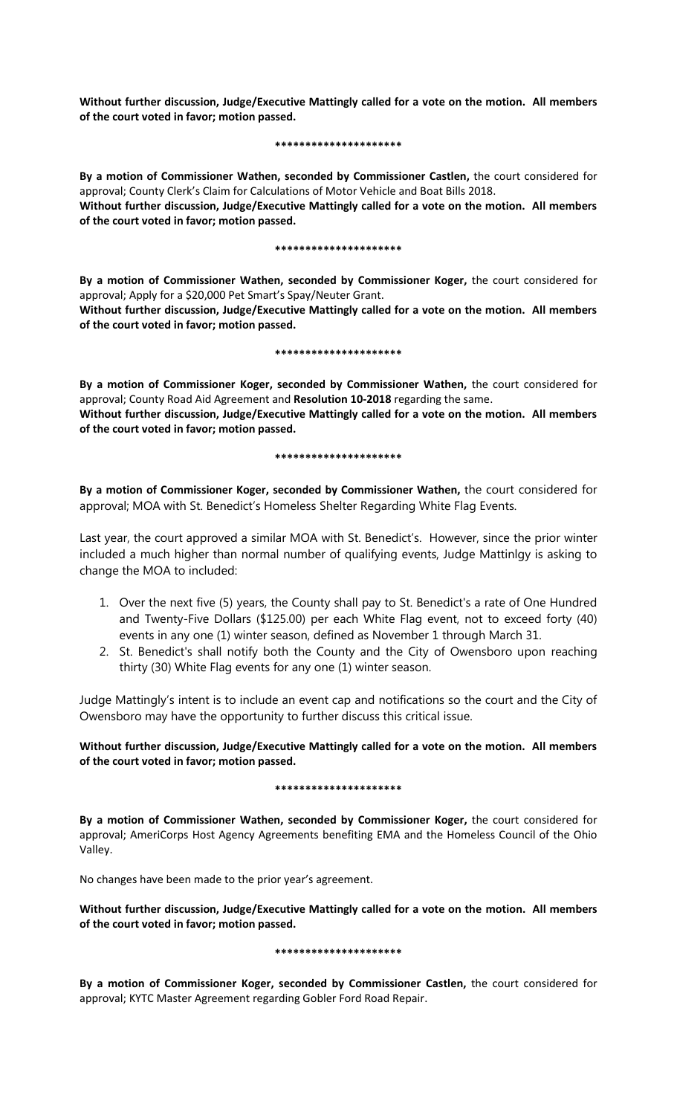**Without further discussion, Judge/Executive Mattingly called for a vote on the motion. All members of the court voted in favor; motion passed.** 

### **\*\*\*\*\*\*\*\*\*\*\*\*\*\*\*\*\*\*\*\*\***

**By a motion of Commissioner Wathen, seconded by Commissioner Castlen,** the court considered for approval; County Clerk's Claim for Calculations of Motor Vehicle and Boat Bills 2018. **Without further discussion, Judge/Executive Mattingly called for a vote on the motion. All members of the court voted in favor; motion passed.** 

#### **\*\*\*\*\*\*\*\*\*\*\*\*\*\*\*\*\*\*\*\*\***

**By a motion of Commissioner Wathen, seconded by Commissioner Koger,** the court considered for approval; Apply for a \$20,000 Pet Smart's Spay/Neuter Grant.

**Without further discussion, Judge/Executive Mattingly called for a vote on the motion. All members of the court voted in favor; motion passed.** 

#### **\*\*\*\*\*\*\*\*\*\*\*\*\*\*\*\*\*\*\*\*\***

**By a motion of Commissioner Koger, seconded by Commissioner Wathen,** the court considered for approval; County Road Aid Agreement and **Resolution 10-2018** regarding the same. **Without further discussion, Judge/Executive Mattingly called for a vote on the motion. All members of the court voted in favor; motion passed.** 

#### **\*\*\*\*\*\*\*\*\*\*\*\*\*\*\*\*\*\*\*\*\***

**By a motion of Commissioner Koger, seconded by Commissioner Wathen,** the court considered for approval; MOA with St. Benedict's Homeless Shelter Regarding White Flag Events.

Last year, the court approved a similar MOA with St. Benedict's. However, since the prior winter included a much higher than normal number of qualifying events, Judge Mattinlgy is asking to change the MOA to included:

- 1. Over the next five (5) years, the County shall pay to St. Benedict's a rate of One Hundred and Twenty-Five Dollars (\$125.00) per each White Flag event, not to exceed forty (40) events in any one (1) winter season, defined as November 1 through March 31.
- 2. St. Benedict's shall notify both the County and the City of Owensboro upon reaching thirty (30) White Flag events for any one (1) winter season.

Judge Mattingly's intent is to include an event cap and notifications so the court and the City of Owensboro may have the opportunity to further discuss this critical issue.

**Without further discussion, Judge/Executive Mattingly called for a vote on the motion. All members of the court voted in favor; motion passed.** 

# **\*\*\*\*\*\*\*\*\*\*\*\*\*\*\*\*\*\*\*\*\***

**By a motion of Commissioner Wathen, seconded by Commissioner Koger,** the court considered for approval; AmeriCorps Host Agency Agreements benefiting EMA and the Homeless Council of the Ohio Valley.

No changes have been made to the prior year's agreement.

**Without further discussion, Judge/Executive Mattingly called for a vote on the motion. All members of the court voted in favor; motion passed.** 

# **\*\*\*\*\*\*\*\*\*\*\*\*\*\*\*\*\*\*\*\*\***

**By a motion of Commissioner Koger, seconded by Commissioner Castlen,** the court considered for approval; KYTC Master Agreement regarding Gobler Ford Road Repair.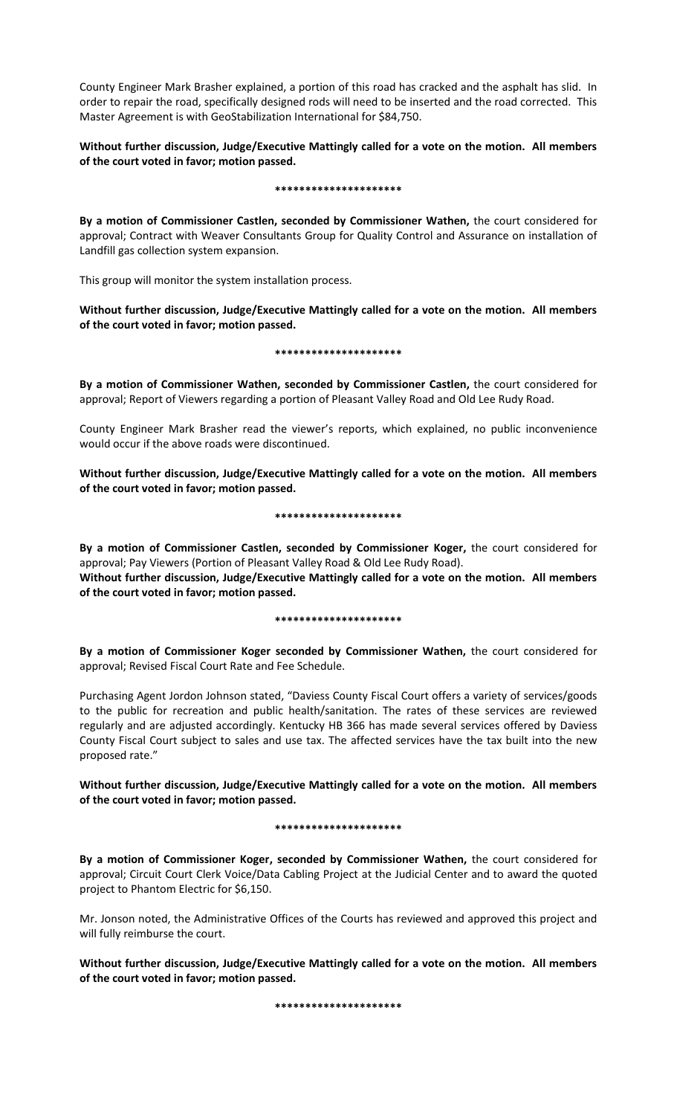County Engineer Mark Brasher explained, a portion of this road has cracked and the asphalt has slid. In order to repair the road, specifically designed rods will need to be inserted and the road corrected. This Master Agreement is with GeoStabilization International for \$84,750.

**Without further discussion, Judge/Executive Mattingly called for a vote on the motion. All members of the court voted in favor; motion passed.** 

#### **\*\*\*\*\*\*\*\*\*\*\*\*\*\*\*\*\*\*\*\*\***

**By a motion of Commissioner Castlen, seconded by Commissioner Wathen,** the court considered for approval; Contract with Weaver Consultants Group for Quality Control and Assurance on installation of Landfill gas collection system expansion.

This group will monitor the system installation process.

**Without further discussion, Judge/Executive Mattingly called for a vote on the motion. All members of the court voted in favor; motion passed.** 

#### **\*\*\*\*\*\*\*\*\*\*\*\*\*\*\*\*\*\*\*\*\***

**By a motion of Commissioner Wathen, seconded by Commissioner Castlen,** the court considered for approval; Report of Viewers regarding a portion of Pleasant Valley Road and Old Lee Rudy Road.

County Engineer Mark Brasher read the viewer's reports, which explained, no public inconvenience would occur if the above roads were discontinued.

**Without further discussion, Judge/Executive Mattingly called for a vote on the motion. All members of the court voted in favor; motion passed.** 

# **\*\*\*\*\*\*\*\*\*\*\*\*\*\*\*\*\*\*\*\*\***

**By a motion of Commissioner Castlen, seconded by Commissioner Koger,** the court considered for approval; Pay Viewers (Portion of Pleasant Valley Road & Old Lee Rudy Road).

**Without further discussion, Judge/Executive Mattingly called for a vote on the motion. All members of the court voted in favor; motion passed.** 

#### **\*\*\*\*\*\*\*\*\*\*\*\*\*\*\*\*\*\*\*\*\***

**By a motion of Commissioner Koger seconded by Commissioner Wathen,** the court considered for approval; Revised Fiscal Court Rate and Fee Schedule.

Purchasing Agent Jordon Johnson stated, "Daviess County Fiscal Court offers a variety of services/goods to the public for recreation and public health/sanitation. The rates of these services are reviewed regularly and are adjusted accordingly. Kentucky HB 366 has made several services offered by Daviess County Fiscal Court subject to sales and use tax. The affected services have the tax built into the new proposed rate."

**Without further discussion, Judge/Executive Mattingly called for a vote on the motion. All members of the court voted in favor; motion passed.** 

# **\*\*\*\*\*\*\*\*\*\*\*\*\*\*\*\*\*\*\*\*\***

**By a motion of Commissioner Koger, seconded by Commissioner Wathen,** the court considered for approval; Circuit Court Clerk Voice/Data Cabling Project at the Judicial Center and to award the quoted project to Phantom Electric for \$6,150.

Mr. Jonson noted, the Administrative Offices of the Courts has reviewed and approved this project and will fully reimburse the court.

**Without further discussion, Judge/Executive Mattingly called for a vote on the motion. All members of the court voted in favor; motion passed.** 

**\*\*\*\*\*\*\*\*\*\*\*\*\*\*\*\*\*\*\*\*\***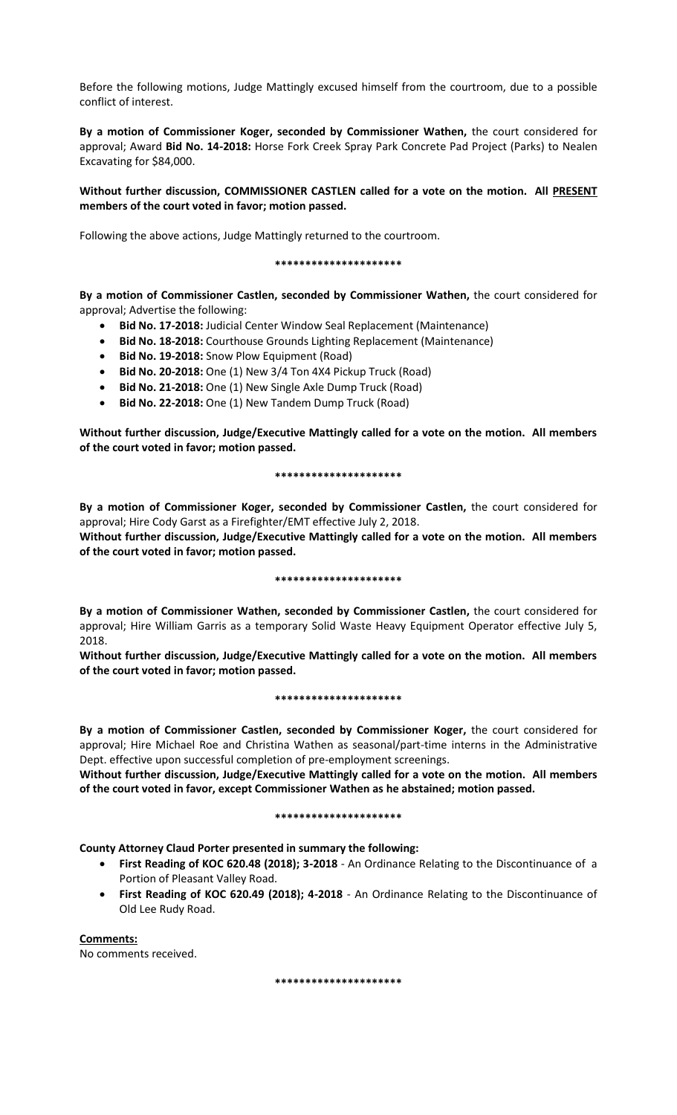Before the following motions, Judge Mattingly excused himself from the courtroom, due to a possible conflict of interest.

**By a motion of Commissioner Koger, seconded by Commissioner Wathen,** the court considered for approval; Award **Bid No. 14-2018:** Horse Fork Creek Spray Park Concrete Pad Project (Parks) to Nealen Excavating for \$84,000.

# **Without further discussion, COMMISSIONER CASTLEN called for a vote on the motion. All PRESENT members of the court voted in favor; motion passed.**

Following the above actions, Judge Mattingly returned to the courtroom.

**\*\*\*\*\*\*\*\*\*\*\*\*\*\*\*\*\*\*\*\*\***

**By a motion of Commissioner Castlen, seconded by Commissioner Wathen,** the court considered for approval; Advertise the following:

- **Bid No. 17-2018:** Judicial Center Window Seal Replacement (Maintenance)
- **Bid No. 18-2018:** Courthouse Grounds Lighting Replacement (Maintenance)
- **Bid No. 19-2018:** Snow Plow Equipment (Road)
- **Bid No. 20-2018:** One (1) New 3/4 Ton 4X4 Pickup Truck (Road)
- **Bid No. 21-2018:** One (1) New Single Axle Dump Truck (Road)
- **Bid No. 22-2018:** One (1) New Tandem Dump Truck (Road)

**Without further discussion, Judge/Executive Mattingly called for a vote on the motion. All members of the court voted in favor; motion passed.** 

# **\*\*\*\*\*\*\*\*\*\*\*\*\*\*\*\*\*\*\*\*\***

**By a motion of Commissioner Koger, seconded by Commissioner Castlen,** the court considered for approval; Hire Cody Garst as a Firefighter/EMT effective July 2, 2018.

**Without further discussion, Judge/Executive Mattingly called for a vote on the motion. All members of the court voted in favor; motion passed.** 

# **\*\*\*\*\*\*\*\*\*\*\*\*\*\*\*\*\*\*\*\*\***

**By a motion of Commissioner Wathen, seconded by Commissioner Castlen,** the court considered for approval; Hire William Garris as a temporary Solid Waste Heavy Equipment Operator effective July 5, 2018.

**Without further discussion, Judge/Executive Mattingly called for a vote on the motion. All members of the court voted in favor; motion passed.** 

# **\*\*\*\*\*\*\*\*\*\*\*\*\*\*\*\*\*\*\*\*\***

**By a motion of Commissioner Castlen, seconded by Commissioner Koger,** the court considered for approval; Hire Michael Roe and Christina Wathen as seasonal/part-time interns in the Administrative Dept. effective upon successful completion of pre-employment screenings.

**Without further discussion, Judge/Executive Mattingly called for a vote on the motion. All members of the court voted in favor, except Commissioner Wathen as he abstained; motion passed.** 

# **\*\*\*\*\*\*\*\*\*\*\*\*\*\*\*\*\*\*\*\*\***

**County Attorney Claud Porter presented in summary the following:**

- **First Reading of KOC 620.48 (2018); 3-2018** An Ordinance Relating to the Discontinuance of a Portion of Pleasant Valley Road.
- **First Reading of KOC 620.49 (2018); 4-2018** An Ordinance Relating to the Discontinuance of Old Lee Rudy Road.

**Comments:** No comments received.

**\*\*\*\*\*\*\*\*\*\*\*\*\*\*\*\*\*\*\*\*\***